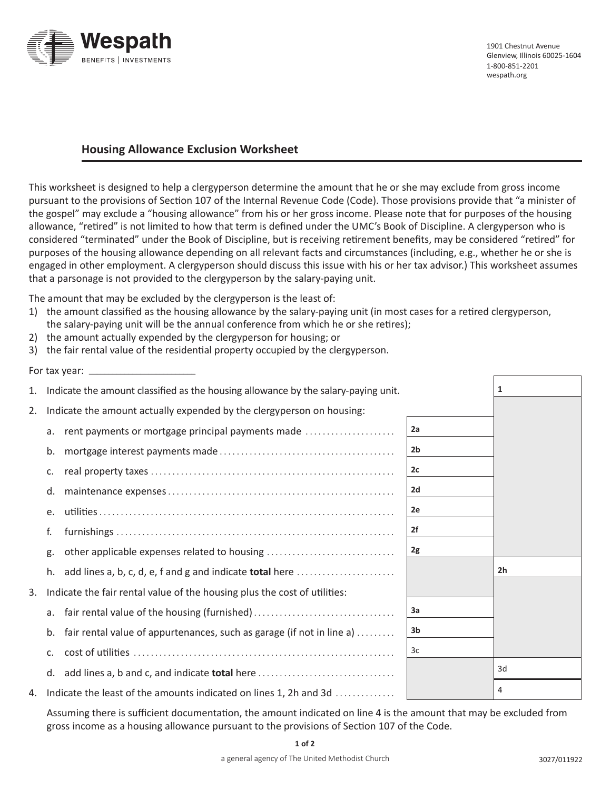

## **Housing Allowance Exclusion Worksheet**

This worksheet is designed to help a clergyperson determine the amount that he or she may exclude from gross income pursuant to the provisions of Section 107 of the Internal Revenue Code (Code). Those provisions provide that "a minister of the gospel" may exclude a "housing allowance" from his or her gross income. Please note that for purposes of the housing allowance, "retired" is not limited to how that term is defined under the UMC's Book of Discipline. A clergyperson who is considered "terminated" under the Book of Discipline, but is receiving retirement benefits, may be considered "retired" for purposes of the housing allowance depending on all relevant facts and circumstances (including, e.g., whether he or she is engaged in other employment. A clergyperson should discuss this issue with his or her tax advisor.) This worksheet assumes that a parsonage is not provided to the clergyperson by the salary-paying unit.

The amount that may be excluded by the clergyperson is the least of:

- 1) the amount classified as the housing allowance by the salary-paying unit (in most cases for a retired clergyperson, the salary-paying unit will be the annual conference from which he or she retires);
- 2) the amount actually expended by the clergyperson for housing; or
- 3) the fair rental value of the residential property occupied by the clergyperson.

For tax year:  $\equiv$ 

| 1. | Indicate the amount classified as the housing allowance by the salary-paying unit. |                | 1              |
|----|------------------------------------------------------------------------------------|----------------|----------------|
| 2. | Indicate the amount actually expended by the clergyperson on housing:              |                |                |
|    | rent payments or mortgage principal payments made<br>a.                            | 2a             |                |
|    | b.                                                                                 | 2 <sub>b</sub> |                |
|    | c.                                                                                 | 2c             |                |
|    | d.                                                                                 | 2d             |                |
|    | e.                                                                                 | 2e             |                |
|    | f.                                                                                 | 2f             |                |
|    | other applicable expenses related to housing<br>g.                                 | 2g             |                |
|    | add lines a, b, c, d, e, f and g and indicate <b>total</b> here<br>h.              |                | 2 <sub>h</sub> |
| 3. | Indicate the fair rental value of the housing plus the cost of utilities:          |                |                |
|    | a.                                                                                 | За             |                |
|    | fair rental value of appurtenances, such as garage (if not in line a)<br>b.        | 3b             |                |
|    | C.                                                                                 | 3c             |                |
|    | d.                                                                                 |                | 3d             |
| 4. | Indicate the least of the amounts indicated on lines 1, 2h and 3d                  |                | 4              |

Assuming there is sufficient documentation, the amount indicated on line 4 is the amount that may be excluded from gross income as a housing allowance pursuant to the provisions of Section 107 of the Code.